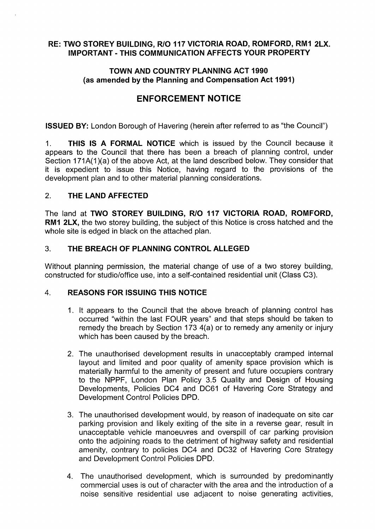# **RE: TWO STOREY BUILDING, R/0 117 VICTORIA ROAD, ROMFORD, RM1 2LX. IMPORTANT - THIS COMMUNICATION AFFECTS YOUR PROPERTY**

#### **TOWN AND COUNTRY PLANNING ACT 1990 (as amended by the Planning and Compensation Act 1991)**

# **ENFORCEMENT NOTICE**

**ISSUED BY:** London Borough of Havering (herein after referred to as "the Council")

1. **THIS IS A FORMAL NOTICE** which is issued by the Council because it appears to the Council that there has been a breach of planning control, under Section 171A(1)(a) of the above Act, at the land described below. They consider that it is expedient to issue this Notice, having regard to the provisions of the development plan and to other material planning considerations.

#### 2. **THE LAND AFFECTED**

The land at **TWO STOREY BUILDING, R/0 117 VICTORIA ROAD, ROMFORD, RM1 2LX,** the two storey building, the subject of this Notice is cross hatched and the whole site is edged in black on the attached plan.

# 3. **THE BREACH OF PLANNING CONTROL ALLEGED**

Without planning permission, the material change of use of a two storey building, constructed for studio/office use, into a self-contained residential unit (Class C3).

#### 4. **REASONS FOR ISSUING THIS NOTICE**

- 1. It appears to the Council that the above breach of planning control has occurred "within the last FOUR years" and that steps should be taken to remedy the breach by Section 173 4(a) or to remedy any amenity or injury which has been caused by the breach.
- 2. The unauthorised development results in unacceptably cramped internal layout and limited and poor quality of amenity space provision which is materially harmful to the amenity of present and future occupiers contrary to the NPPF, London Plan Policy 3.5 Quality and Design of Housing Developments, Policies DC4 and DC61 of Havering Core Strategy and Development Control Policies DPD.
- 3. The unauthorised development would, by reason of inadequate on site car parking provision and likely exiting of the site in a reverse gear, result in unacceptable vehicle manoeuvres and overspill of car parking provision onto the adjoining roads to the detriment of highway safety and residential amenity, contrary to policies DC4 and DC32 of Havering Core Strategy and Development Control Policies DPD.
- 4. The unauthorised development, which is surrounded by predominantly commercial uses is out of character with the area and the introduction of a noise sensitive residential use adjacent to noise generating activities,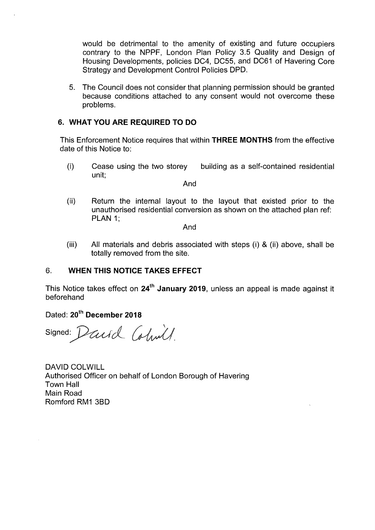would be detrimental to the amenity of existing and future occupiers contrary to the NPPF, London Plan Policy 3.5 Quality and Design of Housing Developments, policies DC4, DC55, and DC61 of Havering Core Strategy and Development Control Policies DPD.

5. The Council does not consider that planning permission should be granted because conditions attached to any consent would not overcome these problems.

# **6. WHAT YOU ARE REQUIRED TO DO**

This Enforcement Notice requires that within **THREE MONTHS** from the effective date of this Notice to:

(i) Cease using the two storey building as a self-contained residential unit;

And

(ii) Return the internal layout to the layout that existed prior to the unauthorised residential conversion as shown on the attached plan ref: **PLAN 1;** 

And

(iii) All materials and debris associated with steps (i) & (ii) above, shall be totally removed from the site.

#### 6. **WHEN THIS NOTICE TAKES EFFECT**

This Notice takes effect on **24th January 2019,** unless an appeal is made against it beforehand

Dated: **20th December 2018** 

signed: Daniel Colmill.

DAVID COLWILL Authorised Officer on behalf of London Borough of Havering Town Hall Main Road Romford RM1 3BD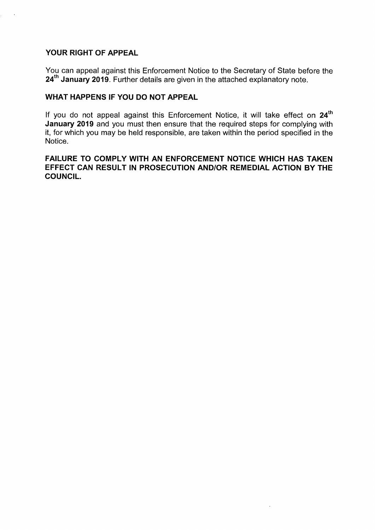# **YOUR RIGHT OF APPEAL**

You can appeal against this Enforcement Notice to the Secretary of State before the **24th January 2019.** Further details are given in the attached explanatory note.

#### **WHAT HAPPENS IF YOU DO NOT APPEAL**

**24th** If you do not appeal against this Enforcement Notice, it will take effect on **January 2019** and you must then ensure that the required steps for complying with it, for which you may be held responsible, are taken within the period specified in the Notice.

#### **FAILURE TO COMPLY WITH AN ENFORCEMENT NOTICE WHICH HAS TAKEN EFFECT CAN RESULT IN PROSECUTION AND/OR REMEDIAL ACTION BY THE COUNCIL.**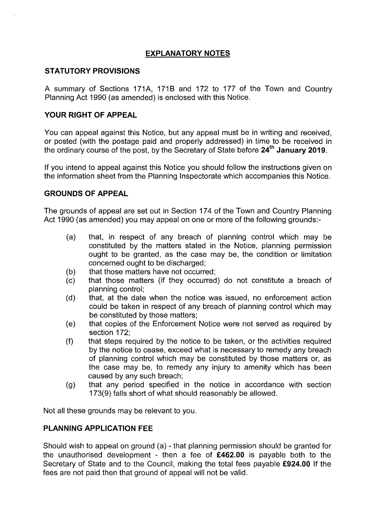# **EXPLANATORY NOTES**

#### **STATUTORY PROVISIONS**

A summary of Sections 171A, 1718 and 172 to 177 of the Town and Country Planning Act 1990 (as amended) is enclosed with this Notice.

### **YOUR RIGHT OF APPEAL**

You can appeal against this Notice, but any appeal must be in writing and received, or posted (with the postage paid and properly addressed) in time to be received in the ordinary course of the post, by the Secretary of State before **24th January 2019.** 

If you intend to appeal against this Notice you should follow the instructions given on the information sheet from the Planning Inspectorate which accompanies this Notice.

#### **GROUNDS OF APPEAL**

The grounds of appeal are set out in Section 174 of the Town and Country Planning Act 1990 (as amended) you may appeal on one or more of the following grounds:-

- (a) that, in respect of any breach of planning control which may be constituted by the matters stated in the Notice, planning permission ought to be granted, as the case may be, the condition or limitation concerned ought to be discharged;
- (b) that those matters have not occurred;
- (c) that those matters (if they occurred) do not constitute a breach of planning control;
- (d) that, at the date when the notice was issued, no enforcement action could be taken in respect of any breach of planning control which may be constituted by those matters;
- (e) that copies of the Enforcement Notice were not served as required by section 172;
- (f) that steps required by the notice to be taken, or the activities required by the notice to cease, exceed what is necessary to remedy any breach of planning control which may be constituted by those matters or, as the case may be, to remedy any injury to amenity which has been caused by any such breach;
- (g) that any period specified in the notice in accordance with section 173(9) falls short of what should reasonably be allowed.

Not all these grounds may be relevant to you.

#### **PLANNING APPLICATION FEE**

Should wish to appeal on ground (a) - that planning permission should be granted for the unauthorised development - then a fee of **£462.00** is payable both to the Secretary of State and to the Council, making the total fees payable **£924.00** If the fees are not paid then that ground of appeal will not be valid.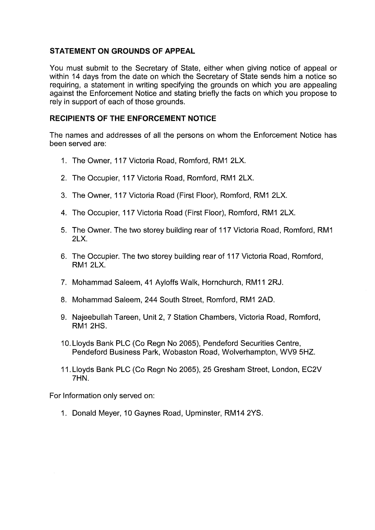# **STATEMENT ON GROUNDS OF APPEAL**

You must submit to the Secretary of State, either when giving notice of appeal or within 14 days from the date on which the Secretary of State sends him a notice so requiring, a statement in writing specifying the grounds on which you are appealing against the Enforcement Notice and stating briefly the facts on which you propose to rely in support of each of those grounds.

#### **RECIPIENTS OF THE ENFORCEMENT NOTICE**

The names and addresses of all the persons on whom the Enforcement Notice has been served are:

- 1. The Owner, 117 Victoria Road, Romford, RM1 2LX.
- 2. The Occupier, 117 Victoria Road, Romford, RM1 2LX.
- 3. The Owner, 117 Victoria Road (First Floor), Romford, RM1 2LX.
- 4. The Occupier, 117 Victoria Road (First Floor), Romford, RM1 2LX.
- 5. The Owner. The two storey building rear of 117 Victoria Road, Romford, RM1 2LX.
- 6. The Occupier. The two storey building rear of 117 Victoria Road, Romford, RM1 2LX.
- 7. Mohammad Saleem, 41 Ayloffs Walk, Hornchurch, RM11 2RJ.
- 8. Mohammad Saleem, 244 South Street, Romford, RM1 2AD.
- 9. Najeebullah Tareen, Unit 2, 7 Station Chambers, Victoria Road, Romford, RM1 2HS.
- 10. Lloyds Bank PLC (Co Regn No 2065), Pendeford Securities Centre, Pendeford Business Park, Wobaston Road, Wolverhampton, WV9 5HZ.
- 11. Lloyds Bank PLC (Co Regn No 2065), 25 Gresham Street, London, EC2V 7HN.

For Information only served on:

1. Donald Meyer, 10 Gaynes Road, Upminster, RM14 2YS.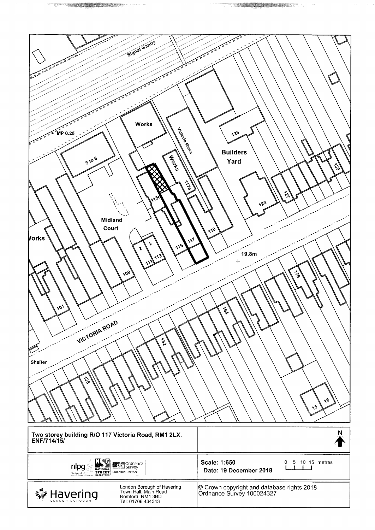| Signal Gantry                                                                                                                      |                                                                         |
|------------------------------------------------------------------------------------------------------------------------------------|-------------------------------------------------------------------------|
|                                                                                                                                    |                                                                         |
| <b>P. P. P. P. B. B. B. B. B. B.</b>                                                                                               |                                                                         |
|                                                                                                                                    |                                                                         |
|                                                                                                                                    |                                                                         |
|                                                                                                                                    |                                                                         |
|                                                                                                                                    |                                                                         |
|                                                                                                                                    |                                                                         |
| Works                                                                                                                              |                                                                         |
| ์ MP 0.                                                                                                                            | $12^{5}$                                                                |
| Jiccoina Ria<br>٠,                                                                                                                 |                                                                         |
|                                                                                                                                    | <b>Builders</b>                                                         |
| <b>Works</b><br>3106                                                                                                               | é<br>Yard<br>ढू                                                         |
|                                                                                                                                    |                                                                         |
| $\sum_{\alpha}$                                                                                                                    |                                                                         |
|                                                                                                                                    | 싓                                                                       |
|                                                                                                                                    | $\sqrt{2^3}$                                                            |
|                                                                                                                                    |                                                                         |
| <b>Midland</b>                                                                                                                     |                                                                         |
| Court<br>Vorks                                                                                                                     | $\Lambda$ 19                                                            |
| $\Lambda^1$<br>۱,<br>$\Lambda$ 5                                                                                                   |                                                                         |
| ъ<br>113)                                                                                                                          | 19.8 <sub>m</sub>                                                       |
| 111                                                                                                                                | $+$                                                                     |
| $'$ $'$                                                                                                                            | $\frac{2}{9}$                                                           |
|                                                                                                                                    |                                                                         |
|                                                                                                                                    |                                                                         |
|                                                                                                                                    |                                                                         |
| Jn.                                                                                                                                | কু                                                                      |
|                                                                                                                                    |                                                                         |
| VICTORIA ROAD                                                                                                                      |                                                                         |
| $\zeta$                                                                                                                            |                                                                         |
|                                                                                                                                    |                                                                         |
| Shelter                                                                                                                            |                                                                         |
|                                                                                                                                    |                                                                         |
| L38                                                                                                                                |                                                                         |
|                                                                                                                                    |                                                                         |
|                                                                                                                                    | $\sqrt{6}$<br>$\lambda^5$                                               |
|                                                                                                                                    |                                                                         |
|                                                                                                                                    |                                                                         |
| Two storey building R/O 117 Victoria Road, RM1 2LX.<br>ENF/714/15/                                                                 | N                                                                       |
|                                                                                                                                    |                                                                         |
| $\mathbf{N}$ (c)                                                                                                                   | <b>Scale: 1:650</b><br>0 5 10 15 metres                                 |
| <b>Setti Ordnance</b><br>nlpg<br>p X<br><b>NATIONAL</b> Licensed Partner<br>The batic of the control<br>Land & Property (Equation) | a k<br>Date: 19 December 2018                                           |
| GAZETTEER                                                                                                                          |                                                                         |
| London Borough of Havering<br>Town Hall, Main Road<br>Romford, RM1 3BD<br>Tel: 01708 434343                                        | © Crown copyright and database rights 2018<br>Ordnance Survey 100024327 |
| Havering                                                                                                                           |                                                                         |

 $\bar{z}$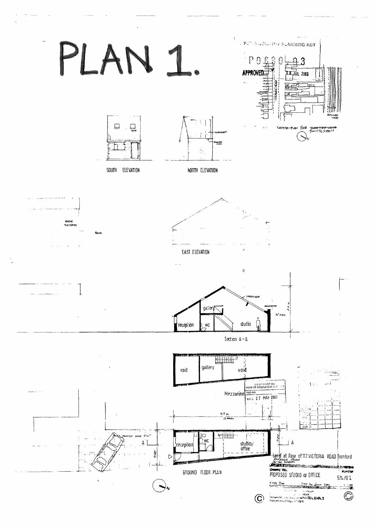